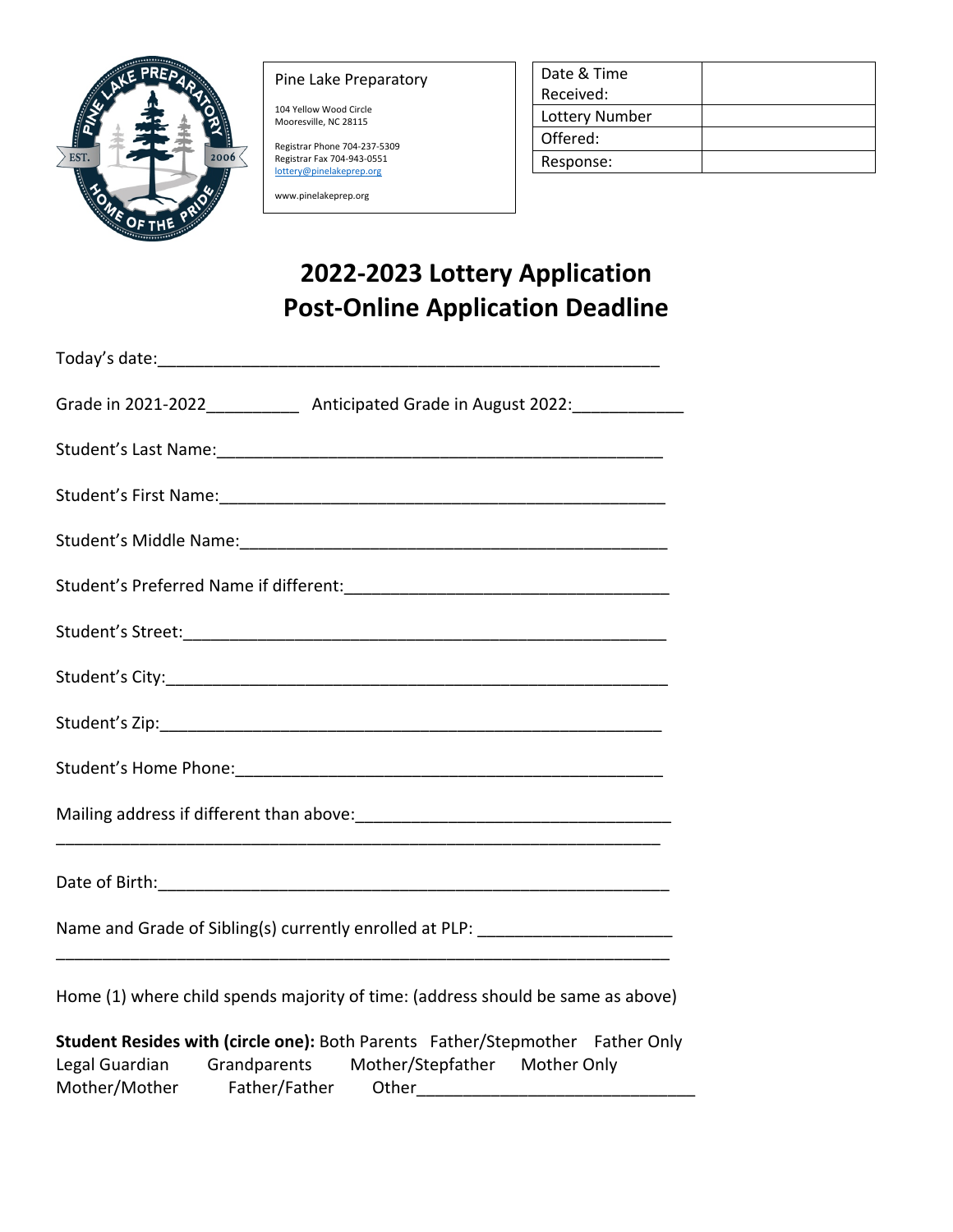

## Pine Lake Preparatory

104 Yellow Wood Circle Mooresville, NC 28115

Registrar Phone 704-237-5309 Registrar Fax 704-943-0551 lottery@pinelakeprep.org

www.pinelakeprep.org

| Date & Time    |  |
|----------------|--|
| Received:      |  |
| Lottery Number |  |
| Offered:       |  |
| Response:      |  |
|                |  |

## **2022-2023 Lottery Application Post-Online Application Deadline**

Mother/Mother Father/Father Other